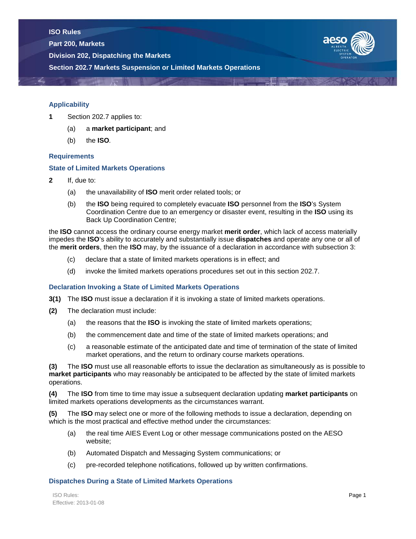**Part 200, Markets**

**Division 202, Dispatching the Markets**





## **Applicability**

- **1** Section 202.7 applies to:
	- (a) a **market participant**; and
	- (b) the **ISO***.*

# **Requirements**

## **State of Limited Markets Operations**

- **2** If, due to:
	- (a) the unavailability of **ISO** merit order related tools; or
	- (b) the **ISO** being required to completely evacuate **ISO** personnel from the **ISO**'s System Coordination Centre due to an emergency or disaster event, resulting in the **ISO** using its Back Up Coordination Centre;

the **ISO** cannot access the ordinary course energy market **merit order**, which lack of access materially impedes the **ISO**'s ability to accurately and substantially issue **dispatches** and operate any one or all of the **merit orders**, then the **ISO** may, by the issuance of a declaration in accordance with subsection 3:

- (c) declare that a state of limited markets operations is in effect; and
- (d) invoke the limited markets operations procedures set out in this section 202.7.

## **Declaration Invoking a State of Limited Markets Operations**

- **3(1)** The **ISO** must issue a declaration if it is invoking a state of limited markets operations.
- **(2)** The declaration must include:
	- (a) the reasons that the **ISO** is invoking the state of limited markets operations;
	- (b) the commencement date and time of the state of limited markets operations; and
	- (c) a reasonable estimate of the anticipated date and time of termination of the state of limited market operations, and the return to ordinary course markets operations.

**(3)** The **ISO** must use all reasonable efforts to issue the declaration as simultaneously as is possible to **market participants** who may reasonably be anticipated to be affected by the state of limited markets operations.

**(4)** The **ISO** from time to time may issue a subsequent declaration updating **market participants** on limited markets operations developments as the circumstances warrant.

**(5)** The **ISO** may select one or more of the following methods to issue a declaration, depending on which is the most practical and effective method under the circumstances:

- (a) the real time AIES Event Log or other message communications posted on the AESO website;
- (b) Automated Dispatch and Messaging System communications; or
- (c) pre-recorded telephone notifications, followed up by written confirmations.

## **Dispatches During a State of Limited Markets Operations**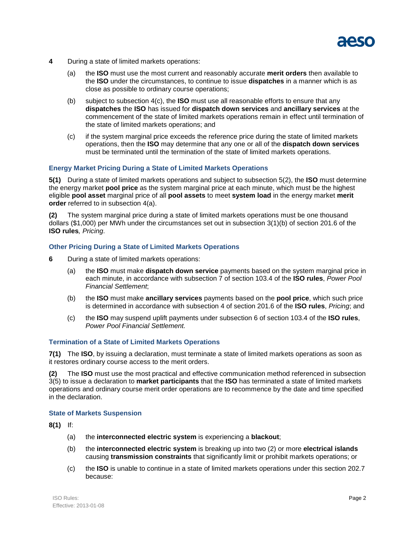

- **4** During a state of limited markets operations:
	- (a) the **ISO** must use the most current and reasonably accurate **merit orders** then available to the **ISO** under the circumstances, to continue to issue **dispatches** in a manner which is as close as possible to ordinary course operations;
	- (b) subject to subsection 4(c), the **ISO** must use all reasonable efforts to ensure that any **dispatches** the **ISO** has issued for **dispatch down services** and **ancillary services** at the commencement of the state of limited markets operations remain in effect until termination of the state of limited markets operations; and
	- (c) if the system marginal price exceeds the reference price during the state of limited markets operations, then the **ISO** may determine that any one or all of the **dispatch down services**  must be terminated until the termination of the state of limited markets operations.

### **Energy Market Pricing During a State of Limited Markets Operations**

**5(1)** During a state of limited markets operations and subject to subsection 5(2), the **ISO** must determine the energy market **pool price** as the system marginal price at each minute, which must be the highest eligible **pool asset** marginal price of all **pool assets** to meet **system load** in the energy market **merit order** referred to in subsection 4(a).

**(2)** The system marginal price during a state of limited markets operations must be one thousand dollars (\$1,000) per MWh under the circumstances set out in subsection 3(1)(b) of section 201.6 of the **ISO rules***, Pricing*.

#### **Other Pricing During a State of Limited Markets Operations**

- **6** During a state of limited markets operations:
	- (a) the **ISO** must make **dispatch down service** payments based on the system marginal price in each minute, in accordance with subsection 7 of section 103.4 of the **ISO rules**, *Power Pool Financial Settlement*;
	- (b) the **ISO** must make **ancillary services** payments based on the **pool price**, which such price is determined in accordance with subsection 4 of section 201.6 of the **ISO rules**, *Pricing*; and
	- (c) the **ISO** may suspend uplift payments under subsection 6 of section 103.4 of the **ISO rules**, *Power Pool Financial Settlement.*

#### **Termination of a State of Limited Markets Operations**

**7(1)** The **ISO**, by issuing a declaration, must terminate a state of limited markets operations as soon as it restores ordinary course access to the merit orders.

**(2)** The **ISO** must use the most practical and effective communication method referenced in subsection 3(5) to issue a declaration to **market participants** that the **ISO** has terminated a state of limited markets operations and ordinary course merit order operations are to recommence by the date and time specified in the declaration.

#### **State of Markets Suspension**

**8(1)** If:

- (a) the **interconnected electric system** is experiencing a **blackout**;
- (b) the **interconnected electric system** is breaking up into two (2) or more **electrical islands**  causing **transmission constraints** that significantly limit or prohibit markets operations; or
- (c) the **ISO** is unable to continue in a state of limited markets operations under this section 202.7 because: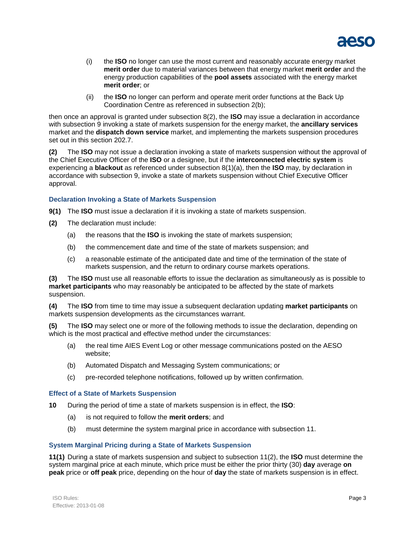

- (i) the **ISO** no longer can use the most current and reasonably accurate energy market **merit order** due to material variances between that energy market **merit order** and the energy production capabilities of the **pool assets** associated with the energy market **merit order**; or
- (ii) the **ISO** no longer can perform and operate merit order functions at the Back Up Coordination Centre as referenced in subsection 2(b);

then once an approval is granted under subsection 8(2), the **ISO** may issue a declaration in accordance with subsection 9 invoking a state of markets suspension for the energy market, the **ancillary services** market and the **dispatch down service** market, and implementing the markets suspension procedures set out in this section 202.7.

**(2)** The **ISO** may not issue a declaration invoking a state of markets suspension without the approval of the Chief Executive Officer of the **ISO** or a designee, but if the **interconnected electric system** is experiencing a **blackout** as referenced under subsection 8(1)(a), then the **ISO** may, by declaration in accordance with subsection 9, invoke a state of markets suspension without Chief Executive Officer approval.

# **Declaration Invoking a State of Markets Suspension**

- **9(1)** The **ISO** must issue a declaration if it is invoking a state of markets suspension.
- **(2)** The declaration must include:
	- (a) the reasons that the **ISO** is invoking the state of markets suspension;
	- (b) the commencement date and time of the state of markets suspension; and
	- (c) a reasonable estimate of the anticipated date and time of the termination of the state of markets suspension, and the return to ordinary course markets operations.

**(3)** The **ISO** must use all reasonable efforts to issue the declaration as simultaneously as is possible to **market participants** who may reasonably be anticipated to be affected by the state of markets suspension.

**(4)** The **ISO** from time to time may issue a subsequent declaration updating **market participants** on markets suspension developments as the circumstances warrant.

**(5)** The **ISO** may select one or more of the following methods to issue the declaration, depending on which is the most practical and effective method under the circumstances:

- (a) the real time AIES Event Log or other message communications posted on the AESO website;
- (b) Automated Dispatch and Messaging System communications; or
- (c) pre-recorded telephone notifications, followed up by written confirmation.

#### **Effect of a State of Markets Suspension**

**10** During the period of time a state of markets suspension is in effect, the **ISO**:

- (a) is not required to follow the **merit orders**; and
- (b) must determine the system marginal price in accordance with subsection 11.

# **System Marginal Pricing during a State of Markets Suspension**

**11(1)** During a state of markets suspension and subject to subsection 11(2), the **ISO** must determine the system marginal price at each minute, which price must be either the prior thirty (30) **day** average **on peak** price or **off peak** price, depending on the hour of **day** the state of markets suspension is in effect.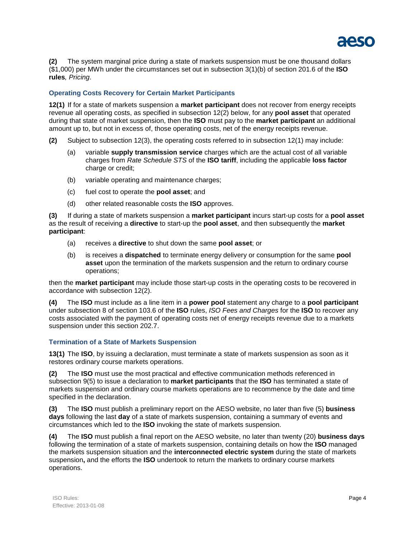

**(2)** The system marginal price during a state of markets suspension must be one thousand dollars (\$1,000) per MWh under the circumstances set out in subsection 3(1)(b) of section 201.6 of the **ISO rules***, Pricing*.

# **Operating Costs Recovery for Certain Market Participants**

**12(1)** If for a state of markets suspension a **market participant** does not recover from energy receipts revenue all operating costs, as specified in subsection 12(2) below, for any **pool asset** that operated during that state of market suspension, then the **ISO** must pay to the **market participant** an additional amount up to, but not in excess of, those operating costs, net of the energy receipts revenue.

- **(2)** Subject to subsection 12(3), the operating costs referred to in subsection 12(1) may include:
	- (a) variable **supply transmission service** charges which are the actual cost of all variable charges from *Rate Schedule STS* of the **ISO tariff**, including the applicable **loss factor** charge or credit;
	- (b) variable operating and maintenance charges;
	- (c) fuel cost to operate the **pool asset**; and
	- (d) other related reasonable costs the **ISO** approves.

**(3)** If during a state of markets suspension a **market participant** incurs start-up costs for a **pool asset** as the result of receiving a **directive** to start-up the **pool asset**, and then subsequently the **market participant**:

- (a) receives a **directive** to shut down the same **pool asset**; or
- (b) is receives a **dispatched** to terminate energy delivery or consumption for the same **pool asset** upon the termination of the markets suspension and the return to ordinary course operations;

then the **market participant** may include those start-up costs in the operating costs to be recovered in accordance with subsection 12(2).

**(4)** The **ISO** must include as a line item in a **power pool** statement any charge to a **pool participant**  under subsection 8 of section 103.6 of the **ISO** rules, *ISO Fees and Charges* for the **ISO** to recover any costs associated with the payment of operating costs net of energy receipts revenue due to a markets suspension under this section 202.7.

#### **Termination of a State of Markets Suspension**

**13(1)** The **ISO**, by issuing a declaration, must terminate a state of markets suspension as soon as it restores ordinary course markets operations.

**(2)** The **ISO** must use the most practical and effective communication methods referenced in subsection 9(5) to issue a declaration to **market participants** that the **ISO** has terminated a state of markets suspension and ordinary course markets operations are to recommence by the date and time specified in the declaration.

**(3)** The **ISO** must publish a preliminary report on the AESO website, no later than five (5) **business days** following the last **day** of a state of markets suspension, containing a summary of events and circumstances which led to the **ISO** invoking the state of markets suspension.

**(4)** The **ISO** must publish a final report on the AESO website, no later than twenty (20) **business days**  following the termination of a state of markets suspension, containing details on how the **ISO** managed the markets suspension situation and the **interconnected electric system** during the state of markets suspension**,** and the efforts the **ISO** undertook to return the markets to ordinary course markets operations.